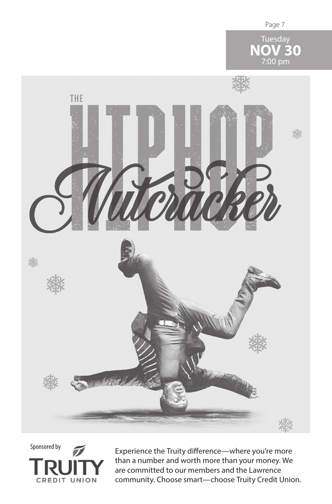





Experience the Truity difference—where you're more than a number and worth more than your money. We are committed to our members and the Lawrence community. Choose smart—choose Truity Credit Union.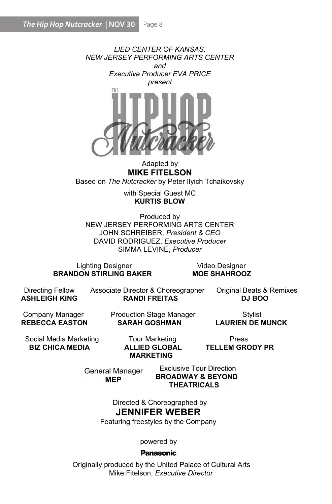

Adapted by MIKE FITELSON Based on The Nutcracker by Peter Ilyich Tchaikovsky

> with Special Guest MC KURTIS BLOW

Produced by NEW JERSEY PERFORMING ARTS CENTER JOHN SCHREIBER, President & CEO DAVID RODRIGUEZ, Executive Producer SIMMA LEVINE, Producer

Lighting Designer Video Designer BRANDON STIRLING BAKER

**ASHI FIGH KING** 

Directing Fellow Associate Director & Choreographer Original Beats & Remixes<br>ASHLEIGH KING **RANDI FREITAS** DJ BOO

Company Manager Production Stage Manager Stylist<br>REBECCA FASTON SARAH GOSHMAN I AURIEN DE I

**LAURIEN DE MUNCK** 

Social Media Marketing Tour Marketing Press<br>**BIZ CHICA MEDIA ALLIED GLOBAL TELLEM GR** 

MARKETING

**TELLEM GRODY PR** 

**General Manager MEP** 

**Exclusive Tour Direction BROADWAY & BEYOND THEATRICALS** 

Directed & Choreographed by JENNIFER WEBER

Featuring freestyles by the Company

powered by

# **Panasonic**

 Originally produced by the United Palace of Cultural Arts Mike Fitelson, Executive Director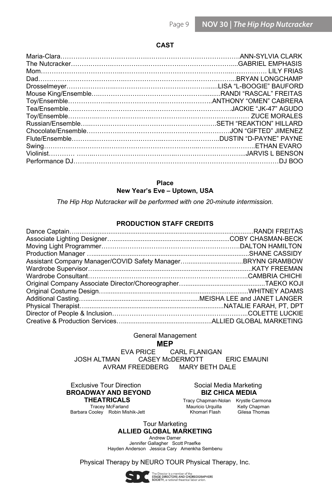### CAST

| Tea/Ensemble…………………………………………………………………………JACKIE "JK-47" AGUDO |  |
|--------------------------------------------------------------|--|
|                                                              |  |
|                                                              |  |
|                                                              |  |
|                                                              |  |
|                                                              |  |
|                                                              |  |
|                                                              |  |
|                                                              |  |

# Place

New Year's Eve – Uptown, USA

The Hip Hop Nutcracker will be performed with one 20-minute intermission.

#### PRODUCTION STAFF CREDITS

General Management

**MEP**<br>EVA PRICE C EVA PRICE CARL FLANIGAN<br>JOSH ALTMAN CASEY McDERMOTT CASEY McDERMOTT ERIC EMAUNI AVRAM FREEDBERG MARY BETH DALE

Exclusive Tour Direction **Social Media Marketing**<br> **ROADWAY AND BEYOND** BIZ CHICA MEDIA BROADWAY AND BEYOND<br>THEATRICALS **THEATRICALS** Tracy Chapman-Nolan Krystle Carmona<br>Tracey McFarland Tracey Mauricio Urquilla Kelly Chapman Barbara Cooley Robin Mishik-Jett

Trace Orquilla Kelly Chapman<br>Trace Magnetic Khomani Flash Gilesa Thomas

Tour Marketing ALLIED GLOBAL MARKETING

Andrew Damer Jennifer Gallagher Scott Praefke Hayden Anderson Jessica Cary Amenkha Sembenu

Physical Therapy by NEURO TOUR Physical Therapy, Inc.



The Director is a member of the<br>STAGE DIRECTORS AND CHOREOGRAPHERS<br>SOCIETY, a national theatrical labor union.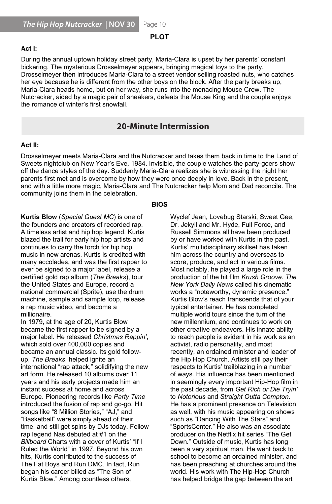## PLOT

#### Act I:

During the annual uptown holiday street party, Maria-Clara is upset by her parents' constant bickering. The mysterious Drosselmeyer appears, bringing magical toys to the party. Drosselmeyer then introduces Maria-Clara to a street vendor selling roasted nuts, who catches Brosselling of their integraces wand-clara to a street verider selling roasted hals, who calched the party breaks up, Maria-Clara heads home, but on her way, she runs into the menacing Mouse Crew. The  $\dot{\phantom{a}}$ Nutcracker, aided by a magic pair of sneakers, defeats the Mouse King and the couple enjoys the romance of winter's first snowfall.

# **Example 20 - Minute Intermission** and the contract of the contract of the contract of the contract of the contract of the contract of the contract of the contract of the contract of the contract of the contract of the con

#### $\Delta$ of the day. Suddenly Maria-Clara realizes she is wither night here is with here is with here night here night here night here is with here is with here is with here is with here is with here is with here is with here part is overcome by how they were once deep they were once deep the present, and  $\alpha$ Act II:  $\mathsf{B}$ -Clara and takes  $\mathsf{B}$  and takes the Nutcracker and takes the Land of time to the Land of Land of the Land of the Land of the Land of the Land of the Land of the Land of the Land of the Land of the Land of the

Drosselmeyer meets Maria-Clara and the Nutcracker and takes them back in time to the Land of Sweets nightclub on New Year's Eve, 1984. Invisible, the couple watches the party-goers show on the dance erfore on the day. Baddenty mand bidid redized she to withosonig the hight help parents first met and is overcome by how they were once deeply in love. Back in the present, community joins them in the celebration. off the dance styles of the day. Suddenly Maria-Clara realizes she is witnessing the night her .<br>and with a little more magic, Maria-Clara and The Nutcracker help Mom and Dad reconcile. The

#### BIOS

 $\overline{K}$  timeless artist and hip hopes artist and hip hopes artist and hip hopes artist and hip hopes artist and hip hopes artist and hip hopes artist and hip hopes artist and hip hopes artist and hip hopes artist and hip **Kurtis Blow** (*Special Guest MC*) is one of the founders and creators of recorded rap.<br>A little way A timeless artist and hip hop legend, Kurtis<br>... blazed the trail for early hip hop artists and hip hope to the trail for early hip hop artists and continues to carry the torch for hip hop artists and the torch for hip hop music in new arenas. Kurtis is credited with many accolades, and was the first rapper to ever be signed to a major label, release a<br>ever be signed to a major label, release a machine, sample and sample loop, release ever be signed to a major label, release a certified gold rap album (The Breaks), tour the United States and Europe, record a<br>the United States national commercial (Sprite), use the drum machine, sample and sample loop, release a rap music video, and become a<br>…… millionalie.<br>He released Christmas Rappin', Christmas Rappin', Christmas Rappin', Christmas Rappin', Christmas R a rap music video, and become a millionaire.

 $\mu$  is a control over  $400$  copies  $20$ , Nurtus blow became the first rapper to be signed by a major label. He released Christmas Rappin', writch sold over 400,000 copies and<br>" became an annual classic. Its gold followup, *rne breaks*, neiped ignite and him and him and him and him and him and him and him and him and him and him a international "rap attack," solidifying the new art form. He released 10 albums over 11 years and his early projects made him an<br>. instant success at nome and across<br>E Europe. Pioneering records like *Party Time*<br>. time, and still get spins by DJs today. Fellow Europe. Pioneering records like Party Time introduced the fusion of rap and go-go. Hit songs like "8 Million Stories," "AJ," and<br>"B  $\begin{array}{l} \text{``Basketball''} \text{ were simply ahead of their} \[2mm] \end{array}$  $\tan \theta$  still get spins by DJs today. Fellow rap legend Nas debuted at #1 on the<br>Pill de debuted at #1 on the *Biliboard* Charts with a cover of Kurtis  $\parallel$  if Ruled the World" in 1997. Beyond his own<br>'  $m_{\rm s}$ , Kurtis continuued to the success of  $\overline{r}$ In 1979, at the age of 20, Kurtis Blow which sold over 400,000 copies and<br>. up, *The Breaks*, helped ignite an annual follow- $\frac{1}{2}$  instant success at home and across Billboard Charts with a cover of Kurtis' "If I hits, Kurtis contributed to the success of The Fat Boys and Run DMC. In fact, Run<br>. began his career billed as "The Son of<br>... Kurtis Blow." Among countless others,

 $\mathbf{R}$ Wyclef Jean, Lovebug Starski, Sweet Gee,<br>Past. In the past of the past. The past. In the past. Dr. Jekyll and Mr. Hyde, Full Force, and<br>Dr. Juliet Russell Simmons all have been produced by or have worked with Kurtis in the past.<br>If the worked with Kurtis in the past. Kurtis' multidisciplinary skillset has taken<br>. him across the country and overseas to score, produce, and act in various illins.<br>Martin Library Most notably, he played a large role in the production of the hit film Krush Groove. The New York Daily News called his cinematic works a "noteworthy, dynamic presence."<br>Works a "noteworthy, dynamic presence." Kurtis Blow's reach transcends that of your<br>. typical entertainer. He has completed<br>... multiple world tours since the turn of the new millennium, and continues to work on other creative endeavors. His innate ability<br>. to reach people is evident in his work as an<br>... acuvisi, radio personality, and most recently, an ordained minister and leader of the Hip Hop Church. Artists still pay their respects to Kurtis' trailblazing in a number of ways. His influence has been mentioned.<br>. in seemingly every important Hip-Hop film in<br>
in seemingly every important Hip-Hop film in the past decade, from Get Rich or Die Tryin' to *Notorious* and *Straight Outta Compton.*<br>... He has a prominent presence on Television as well, with his music appearing on shows<br>"Reflix" District The Get in Television on the Stephen With the Get in the Millet Television on the Millet Tel such as "Dancing With The Stars" and<br>"Sand as "Dancing With The Stars" and "SportsCenter." He also was an associate<br>"The Stars" He also was an producer on the Netflix hit series "The Get Down." Outside of music, Kurtis has long<br>. been a very spiritual man. He went back to school to become an ordained minister, and score, produce, and act in various films.<br>. activist, radio personality, and most has been preaching at churches around the world. His work with The Hip-Hop Church has helped bridge the gap between the art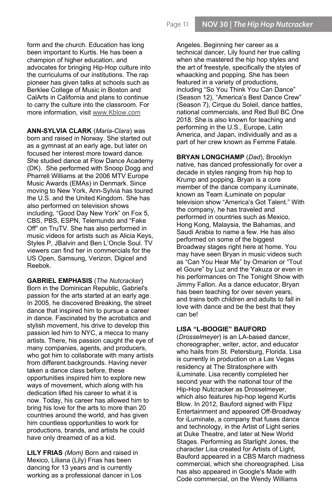form and the church. Education has long been important to Kurtis. He has been a champion of higher education, and advocates for bringing Hip-Hop culture into the curriculums of our institutions. The rap pioneer has given talks at schools such as Berklee College of Music in Boston and CalArts in California and plans to continue to carry the culture into the classroom. For more information, visit www.Kblow.com

ANN-SYLVIA CLARK (Maria-Clara) was born and raised in Norway. She started out as a gymnast at an early age, but later on focused her interest more toward dance. She studied dance at Flow Dance Academy (DK). She performed with Snoop Dogg and Pharrell Williams at the 2006 MTV Europe Music Awards (EMAs) in Denmark. Since moving to New York, Ann-Sylvia has toured the U.S. and the United Kingdom. She has also performed on television shows including, "Good Day New York" on Fox 5, CBS, PBS, ESPN, Telemundo and "Fake Off" on TruTV. She has also performed in music videos for artists such as Alicia Keys, Styles P, JBalvin and Ben L'Oncle Soul. TV viewers can find her in commercials for the US Open, Samsung, Verizon, Digicel and Reebok.

GABRIEL EMPHASIS (The Nutcracker) Born in the Dominican Republic, Gabriel's passion for the arts started at an early age. In 2005, he discovered Breaking, the street dance that inspired him to pursue a career in dance. Fascinated by the acrobatics and stylish movement, his drive to develop this passion led him to NYC, a mecca to many artists. There, his passion caught the eye of many companies, agents, and producers, who got him to collaborate with many artists from different backgrounds. Having never taken a dance class before, these opportunities inspired him to explore new ways of movement, which along with his dedication lifted his career to what it is now. Today, his career has allowed him to bring his love for the arts to more than 20 countries around the world, and has given him countless opportunities to work for productions, brands, and artists he could have only dreamed of as a kid.

LILY FRIAS (Mom) Born and raised in Mexico, Liliana (Lily) Frias has been dancing for 13 years and is currently working as a professional dancer in Los Angeles. Beginning her career as a technical dancer, Lily found her true calling when she mastered the hip hop styles and the art of freestyle, specifically the styles of whaacking and popping. She has been featured in a variety of productions, including "So You Think You Can Dance" (Season 12), "America's Best Dance Crew" (Season 7), Cirque du Soleil, dance battles, national commercials, and Red Bull BC One 2018. She is also known for teaching and performing in the U.S., Europe, Latin America, and Japan, individually and as a part of her crew known as Femme Fatale.

BRYAN LONGCHAMP (Dad), Brooklyn native, has danced professionally for over a decade in styles ranging from hip hop to Krump and popping. Bryan is a core member of the dance company iLuminate, known as Team iLuminate on popular television show "America's Got Talent." With the company, he has traveled and performed in countries such as Mexico, Hong Kong, Malaysia, the Bahamas, and Saudi Arabia to name a few. He has also performed on some of the biggest Broadway stages right here at home. You may have seen Bryan in music videos such as "Can You Hear Me" by Omarion or "Tout et Goure" by Luz and the Yakuza or even in his performances on The Tonight Show with Jimmy Fallon. As a dance educator, Bryan has been teaching for over seven years, and trains both children and adults to fall in love with dance and be the best that they can be!

## LISA "L-BOOGIE" BAUFORD

(Drosselmeyer) is an LA-based dancer, choreographer, writer, actor, and educator who hails from St. Petersburg, Florida. Lisa is currently in production on a Las Vegas residency at The Stratosphere with iLuminate. Lisa recently completed her second year with the national tour of the Hip-Hop Nutcracker as Drosselmeyer, which also features hip-hop legend Kurtis Blow. In 2012, Bauford signed with Flipz Entertainment and appeared Off-Broadway for iLuminate, a company that fuses dance and technology, in the Artist of Light series at Duke Theatre, and later at New World Stages. Performing as Starlight Jones, the character Lisa created for Artists of Light, Bauford appeared in a CBS March madness commercial, which she choreographed. Lisa has also appeared in Google's Made with Code commercial, on the Wendy Williams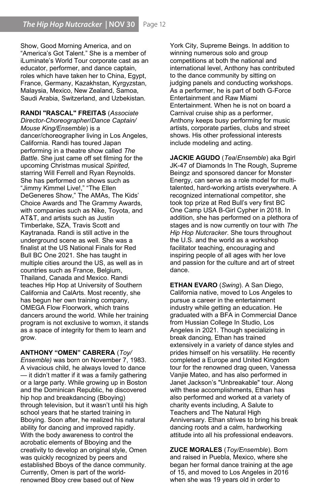Show, Good Morning America, and on "America's Got Talent." She is a member of iLuminate's World Tour corporate cast as an educator, performer, and dance captain, roles which have taken her to China, Egypt, France, Germany, Kazakhstan, Kyrgyzstan, Malaysia, Mexico, New Zealand, Samoa, Saudi Arabia, Switzerland, and Uzbekistan.

RANDI "RASCAL" FREITAS (Associate Director-Choreographer/Dance Captain/ Mouse King/Ensemble) is a dancer/choreographer living in Los Angeles, California. Randi has toured Japan performing in a theatre show called The Battle. She just came off set filming for the upcoming Christmas musical Spirited, starring Will Ferrell and Ryan Reynolds. She has performed on shows such as "Jimmy Kimmel Live!," "The Ellen DeGeneres Show," The AMAs, The Kids' Choice Awards and The Grammy Awards, with companies such as Nike, Toyota, and AT&T, and artists such as Justin Timberlake, SZA, Travis Scott and Kaytranada. Randi is still active in the underground scene as well. She was a finalist at the US National Finals for Red Bull BC One 2021. She has taught in multiple cities around the US, as well as in countries such as France, Belgium, Thailand, Canada and Mexico. Randi teaches Hip Hop at University of Southern California and CalArts. Most recently, she has begun her own training company, OMEGA Flow Floorwork, which trains dancers around the world. While her training program is not exclusive to womxn, it stands as a space of integrity for them to learn and grow.

ANTHONY "OMEN" CABRERA (Toy/ Ensemble) was born on November 7, 1983. A vivacious child, he always loved to dance — it didn't matter if it was a family gathering or a large party. While growing up in Boston and the Dominican Republic, he discovered hip hop and breakdancing (Bboying) through television, but it wasn't until his high school years that he started training in Bboying. Soon after, he realized his natural ability for dancing and improved rapidly. With the body awareness to control the acrobatic elements of Bboying and the creativity to develop an original style, Omen was quickly recognized by peers and established Bboys of the dance community. Currently, Omen is part of the worldrenowned Bboy crew based out of New

York City, Supreme Beings. In addition to winning numerous solo and group competitions at both the national and international level, Anthony has contributed to the dance community by sitting on judging panels and conducting workshops. As a performer, he is part of both G-Force Entertainment and Raw Miami Entertainment. When he is not on board a Carnival cruise ship as a performer, Anthony keeps busy performing for music artists, corporate parties, clubs and street shows. His other professional interests include modeling and acting.

JACKIE AGUDO (Tea/Ensemble) aka Bgirl JK-47 of Diamonds In The Rough, Supreme Beingz and sponsored dancer for Monster Energy, can serve as a role model for multitalented, hard-working artists everywhere. A recognized international competitor, she took top prize at Red Bull's very first BC One Camp USA B-Girl Cypher in 2018. In addition, she has performed on a plethora of stages and is now currently on tour with The Hip Hop Nutcracker. She tours throughout the U.S. and the world as a workshop facilitator teaching, encouraging and inspiring people of all ages with her love and passion for the culture and art of street dance.

**ETHAN EVARO** (Swing). A San Diego, California native, moved to Los Angeles to pursue a career in the entertainment industry while getting an education. He graduated with a BFA in Commercial Dance from Hussian College In Studio, Los Angeles in 2021. Though specializing in break dancing, Ethan has trained extensively in a variety of dance styles and prides himself on his versatility. He recently completed a Europe and United Kingdom tour for the renowned drag queen, Vanessa Vanjie Mateo, and has also performed in Janet Jackson's "Unbreakable" tour. Along with these accomplishments, Ethan has also performed and worked at a variety of charity events including, A Salute to Teachers and The Natural High Anniversary. Ethan strives to bring his break dancing roots and a calm, hardworking attitude into all his professional endeavors.

ZUCE MORALES (Toy/Ensemble). Born and raised in Puebla, Mexico, where she began her formal dance training at the age of 15, and moved to Los Angeles in 2016 when she was 19 years old in order to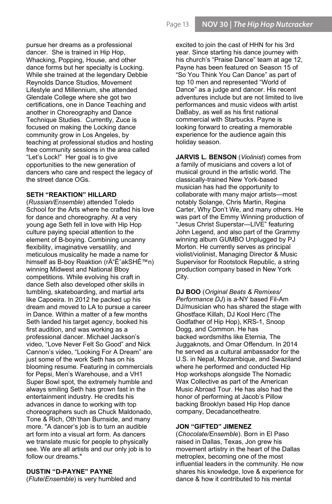pursue her dreams as a professional dancer. She is trained in Hip Hop, Whacking, Popping, House, and other dance forms but her specialty is Locking. While she trained at the legendary Debbie Reynolds Dance Studios, Movement Lifestyle and Millennium, she attended Glendale College where she got two certifications, one in Dance Teaching and another in Choreography and Dance Technique Studies. Currently, Zuce is focused on making the Locking dance community grow in Los Angeles, by teaching at professional studios and hosting free community sessions in the area called "Let's Lock!" Her goal is to give opportunities to the new generation of dancers who care and respect the legacy of the street dance OGs.

# SETH "REAKTION" HILLARD

(Russian/Ensemble) attended Toledo School for the Arts where he crafted his love for dance and choreography. At a very young age Seth fell in love with Hip Hop culture paying special attention to the element of B-boying. Combining uncanny flexibility, imaginative versatility, and meticulous musicality he made a name for himself as B-boy Reaktion (rēˈakSHÉ™n) winning Midwest and National Bboy competitions. While evolving his craft in dance Seth also developed other skills in tumbling, skateboarding, and martial arts like Capoeira. In 2012 he packed up his dream and moved to LA to pursue a career in Dance. Within a matter of a few months Seth landed his target agency, booked his first audition, and was working as a professional dancer. Michael Jackson's video, "Love Never Felt So Good" and Nick Cannon's video, "Looking For A Dream" are just some of the work Seth has on his blooming resume. Featuring in commercials for Pepsi, Men's Warehouse, and a VH1 Super Bowl spot, the extremely humble and always smiling Seth has grown fast in the entertainment industry. He credits his advances in dance to working with top choreographers such as Chuck Maldonado, Tone & Rich, Oth'than Burnside, and many more. "A dancer's job is to turn an audible art form into a visual art form. As dancers we translate music for people to physically see. We are all artists and our only job is to follow our dreams."

# DUSTIN "D-PAYNE" PAYNE

(Flute/Ensemble) is very humbled and

excited to join the cast of HHN for his 3rd year. Since starting his dance journey with his church's "Praise Dance" team at age 12, Payne has been featured on Season 15 of "So You Think You Can Dance" as part of top 10 men and represented "World of Dance" as a judge and dancer. His recent adventures include but are not limited to live performances and music videos with artist DaBaby, as well as his first national commercial with Starbucks. Payne is looking forward to creating a memorable experience for the audience again this holiday season.

JARVIS L. BENSON (Violinist) comes from a family of musicians and covers a lot of musical ground in the artistic world. The classically-trained New York-based musician has had the opportunity to collaborate with many major artists—most notably Solange, Chris Martin, Regina Carter, Why Don't We, and many others. He was part of the Emmy Winning production of "Jesus Christ Superstar—LIVE" featuring John Legend, and also part of the Grammy winning album GUMBO Unplugged by PJ Morton. He currently serves as principal violist/violinist, Managing Director & Music Supervisor for Rootstock Republic, a string production company based in New York City.

DJ BOO (Original Beats & Remixes/ Performance DJ) is a-NY based Fil-Am DJ/musician who has shared the stage with Ghostface Killah, DJ Kool Herc (The Godfather of Hip Hop), KRS-1, Snoop Dogg, and Common. He has backed wordsmiths like Eternia, The Juggaknots, and Omar Offendum. In 2014 he served as a cultural ambassador for the U.S. in Nepal, Mozambique, and Swaziland where he performed and conducted Hip Hop workshops alongside The Nomadic Wax Collective as part of the American Music Abroad Tour. He has also had the honor of performing at Jacob's Pillow backing Brooklyn based Hip Hop dance company, Decadancetheatre.

### JON "GIFTED" JIMENEZ

(Chocolate/Ensemble). Born in El Paso raised in Dallas, Texas, Jon grew his movement artistry in the heart of the Dallas metroplex, becoming one of the most influential leaders in the community. He now shares his knowledge, love & experience for dance & how it contributed to his mental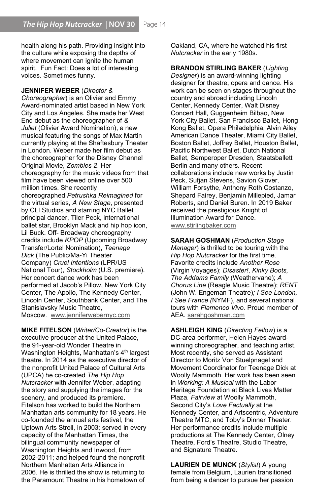health along his path. Providing insight into the culture while exposing the depths of where movement can ignite the human spirit. Fun Fact: Does a lot of interesting voices. Sometimes funny.

#### JENNIFER WEBER (Director &

Choreographer) is an Olivier and Emmy Award-nominated artist based in New York City and Los Angeles. She made her West End debut as the choreographer of & Juliet (Olivier Award Nomination), a new musical featuring the songs of Max Martin currently playing at the Shaftesbury Theater in London. Weber made her film debut as the choreographer for the Disney Channel Original Movie, Zombies 2. Her choreography for the music videos from that film have been viewed online over 500 million times. She recently choreographed Petrushka Reimagined for the virtual series, A New Stage, presented by CLI Studios and starring NYC Ballet principal dancer, Tiler Peck, international ballet star, Brooklyn Mack and hip hop icon, Lil Buck. Off- Broadway choreography credits include KPOP (Upcoming Broadway Transfer/Lortel Nomination), Teenage Dick (The Public/Ma-Yi Theater Company) Cruel Intentions (LPR/US National Tour), Stockholm (U.S. premiere). Her concert dance work has been performed at Jacob's Pillow, New York City Center, The Apollo, The Kennedy Center, Lincoln Center, Southbank Center, and The Stanislavsky Music Theatre, Moscow. www.jenniferwebernyc.com

MIKE FITELSON (Writer/Co-Creator) is the executive producer at the United Palace, the 91-year-old Wonder Theatre in Washington Heights, Manhattan's  $4<sup>th</sup>$  largest theatre. In 2014 as the executive director of the nonprofit United Palace of Cultural Arts (UPCA) he co-created The Hip Hop Nutcracker with Jennifer Weber, adapting the story and supplying the images for the scenery, and produced its premiere. Fitelson has worked to build the Northern Manhattan arts community for 18 years. He co-founded the annual arts festival, the Uptown Arts Stroll, in 2003; served in every capacity of the Manhattan Times, the bilingual community newspaper of Washington Heights and Inwood, from 2002-2011; and helped found the nonprofit Northern Manhattan Arts Alliance in 2006. He is thrilled the show is returning to the Paramount Theatre in his hometown of

Oakland, CA, where he watched his first Nutcracker in the early 1980s.

BRANDON STIRLING BAKER (Lighting

Designer) is an award-winning lighting designer for theatre, opera and dance. His work can be seen on stages throughout the country and abroad including Lincoln Center, Kennedy Center, Walt Disney Concert Hall, Guggenheim Bilbao, New York City Ballet, San Francisco Ballet, Hong Kong Ballet, Opera Philadelphia, Alvin Ailey American Dance Theater, Miami City Ballet, Boston Ballet, Joffrey Ballet, Houston Ballet, Pacific Northwest Ballet, Dutch National Ballet, Semperoper Dresden, Staatsballett Berlin and many others. Recent collaborations include new works by Justin Peck, Sufjan Stevens, Savion Glover, William Forsythe, Anthony Roth Costanzo, Shepard Fairey, Benjamin Millepied, Jamar Roberts, and Daniel Buren. In 2019 Baker received the prestigious Knight of Illumination Award for Dance. www.stirlingbaker.com

SARAH GOSHMAN (Production Stage Manager) is thrilled to be touring with the Hip Hop Nutcracker for the first time. Favorite credits include Another Rose (Virgin Voyages); Disaster!, Kinky Boots, The Addams Family (Weathervane); A Chorus Line (Reagle Music Theatre); RENT (John W. Engeman Theatre); I See London, I See France (NYMF), and several national tours with Flamenco Vivo. Proud member of AEA. sarahgoshman.com

ASHLEIGH KING (Directing Fellow) is a DC-area performer, Helen Hayes awardwinning choreographer, and teaching artist. Most recently, she served as Assistant Director to Moritz Von Stuelpnagel and Movement Coordinator for Teenage Dick at Woolly Mammoth. Her work has been seen in Working: A Musical with the Labor Heritage Foundation at Black Lives Matter Plaza, Fairview at Woolly Mammoth, Second City's Love Factually at the Kennedy Center, and Artscentric, Adventure Theatre MTC, and Toby's Dinner Theater. Her performance credits include multiple productions at The Kennedy Center, Olney Theatre, Ford's Theatre, Studio Theatre, and Signature Theatre.

LAURIEN DE MUNCK (Stylist) A young female from Belgium, Laurien transitioned from being a dancer to pursue her passion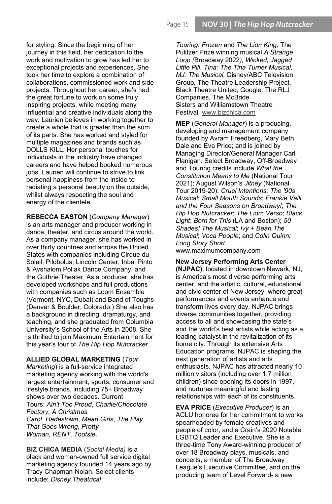for styling. Since the beginning of her journey in this field, her dedication to the work and motivation to grow has led her to exceptional projects and experiences. She took her time to explore a combination of collaborations, commissioned work and side projects. Throughout her career, she's had the great fortune to work on some truly inspiring projects, while meeting many influential and creative individuals along the way. Laurien believes in working together to create a whole that is greater than the sum of its parts. She has worked and styled for multiple magazines and brands such as DOLLS KILL. Her personal touches for individuals in the industry have changed careers and have helped booked numerous jobs. Laurien will continue to strive to link personal happiness from the inside to radiating a personal beauty on the outside, whilst always respecting the soul and energy of the clientele.

REBECCA EASTON (Company Manager) is an arts manager and producer working in dance, theater, and circus around the world. As a company manager, she has worked in over thirty countries and across the United States with companies including Cirque du Soleil, Pilobolus, Lincoln Center, Inbal Pinto & Avshalom Pollak Dance Company, and the Guthrie Theater. As a producer, she has developed workshops and full productions with companies such as Loom Ensemble (Vermont, NYC, Dubai) and Band of Toughs (Denver & Boulder, Colorado.) She also has a background in directing, dramaturgy, and teaching, and she graduated from Columbia University's School of the Arts in 2008. She is thrilled to join Maximum Entertainment for this year's tour of The Hip Hop Nutcracker.

ALLIED GLOBAL MARKETING (Tour Marketing) is a full-service integrated marketing agency working with the world's largest entertainment, sports, consumer and lifestyle brands, including 75+ Broadway shows over two decades. Current Tours: Ain't Too Proud, Charlie/Chocolate Factory, A Christmas Carol, Hadestown, Mean Girls, The Play That Goes Wrong, Pretty Woman, RENT, Tootsie.

**BIZ CHICA MEDIA** (Social Media) is a black and woman-owned full service digital marketing agency founded 14 years ago by Tracy Chapman-Nolan. Select clients include: Disney Theatrical

Touring: Frozen and The Lion King, The Pulitzer Prize winning musical A Strange Loop (Broadway 2022), Wicked, Jagged Little Pill, Tina: The Tina Turner Musical, MJ: The Musical, Disney/ABC Television Group, The Theatre Leadership Project, Black Theatre United, Google, The RLJ Companies, The McBride Sisters and Williamstown Theatre Festival. www.bizchica.com

MEP (General Manager) is a producing, developing and management company founded by Avram Freedberg, Mary Beth Dale and Eva Price; and is joined by Managing Director/General Manager Carl Flanigan. Select Broadway, Off-Broadway and Touring credits include What the Constitution Means to Me (National Tour 2021); August Wilson's Jitney (National Tour 2019-20); Cruel Intentions: The '90s Musical; Small Mouth Sounds; Frankie Valli and the Four Seasons on Broadway!; The Hip Hop Nutcracker; The Lion; Verso; Black Light; Born for This (LA and Boston); 50 Shades! The Musical; Ivy + Bean The Musical; Voca People; and Colin Quinn: Long Story Short.

www.maximumcompany.com

#### New Jersey Performing Arts Center

(NJPAC), located in downtown Newark, NJ, is America's most diverse performing arts center, and the artistic, cultural, educational and civic center of New Jersey, where great performances and events enhance and transform lives every day. NJPAC brings diverse communities together, providing access to all and showcasing the state's and the world's best artists while acting as a leading catalyst in the revitalization of its home city. Through its extensive Arts Education programs, NJPAC is shaping the next generation of artists and arts enthusiasts. NJPAC has attracted nearly 10 million visitors (including over 1.7 million children) since opening its doors in 1997, and nurtures meaningful and lasting relationships with each of its constituents.

EVA PRICE (Executive Producer) is an ACLU honoree for her commitment to works spearheaded by female creatives and people of color, and a Crain's 2020 Notable LGBTQ Leader and Executive. She is a three-time Tony Award-winning producer of over 18 Broadway plays, musicals, and concerts, a member of The Broadway League's Executive Committee, and on the producing team of Level Forward- a new